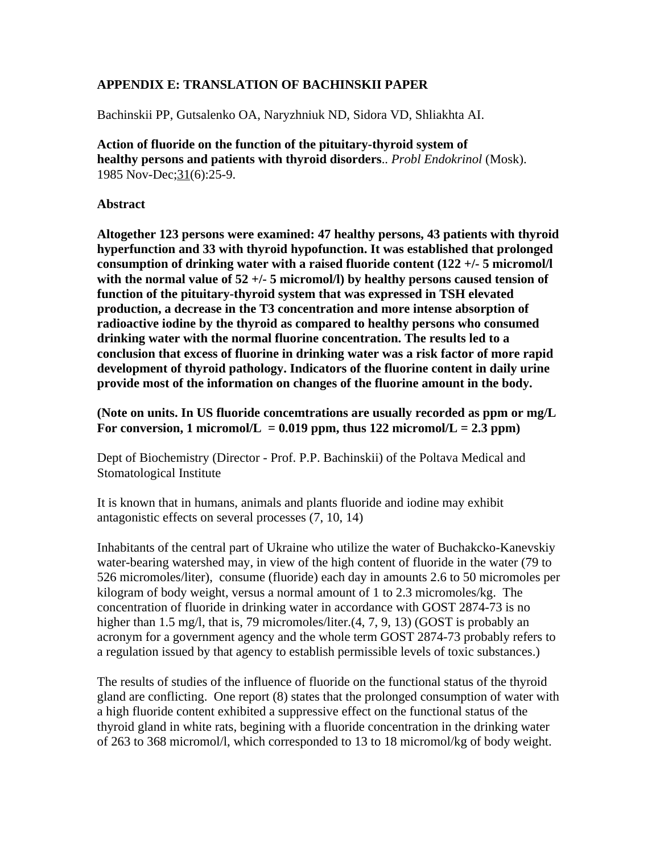## **APPENDIX E: TRANSLATION OF BACHINSKII PAPER**

Bachinskii PP, Gutsalenko OA, Naryzhniuk ND, Sidora VD, Shliakhta AI.

**Action of fluoride on the function of the pituitary-thyroid system of healthy persons and patients with thyroid disorders**.. *Probl Endokrinol* (Mosk). 1985 Nov-Dec;31(6):25-9.

### **Abstract**

**Altogether 123 persons were examined: 47 healthy persons, 43 patients with thyroid hyperfunction and 33 with thyroid hypofunction. It was established that prolonged consumption of drinking water with a raised fluoride content (122 +/- 5 micromol/l with the normal value of 52 +/- 5 micromol/l) by healthy persons caused tension of function of the pituitary-thyroid system that was expressed in TSH elevated production, a decrease in the T3 concentration and more intense absorption of radioactive iodine by the thyroid as compared to healthy persons who consumed drinking water with the normal fluorine concentration. The results led to a conclusion that excess of fluorine in drinking water was a risk factor of more rapid development of thyroid pathology. Indicators of the fluorine content in daily urine provide most of the information on changes of the fluorine amount in the body.**

**(Note on units. In US fluoride concemtrations are usually recorded as ppm or mg/L** For conversion, 1 micromol/L =  $0.019$  ppm, thus 122 micromol/L =  $2.3$  ppm)

Dept of Biochemistry (Director - Prof. P.P. Bachinskii) of the Poltava Medical and Stomatological Institute

It is known that in humans, animals and plants fluoride and iodine may exhibit antagonistic effects on several processes (7, 10, 14)

Inhabitants of the central part of Ukraine who utilize the water of Buchakcko-Kanevskiy water-bearing watershed may, in view of the high content of fluoride in the water (79 to 526 micromoles/liter), consume (fluoride) each day in amounts 2.6 to 50 micromoles per kilogram of body weight, versus a normal amount of 1 to 2.3 micromoles/kg. The concentration of fluoride in drinking water in accordance with GOST 2874-73 is no higher than 1.5 mg/l, that is, 79 micromoles/liter.(4, 7, 9, 13) (GOST is probably an acronym for a government agency and the whole term GOST 2874-73 probably refers to a regulation issued by that agency to establish permissible levels of toxic substances.)

The results of studies of the influence of fluoride on the functional status of the thyroid gland are conflicting. One report (8) states that the prolonged consumption of water with a high fluoride content exhibited a suppressive effect on the functional status of the thyroid gland in white rats, begining with a fluoride concentration in the drinking water of 263 to 368 micromol/l, which corresponded to 13 to 18 micromol/kg of body weight.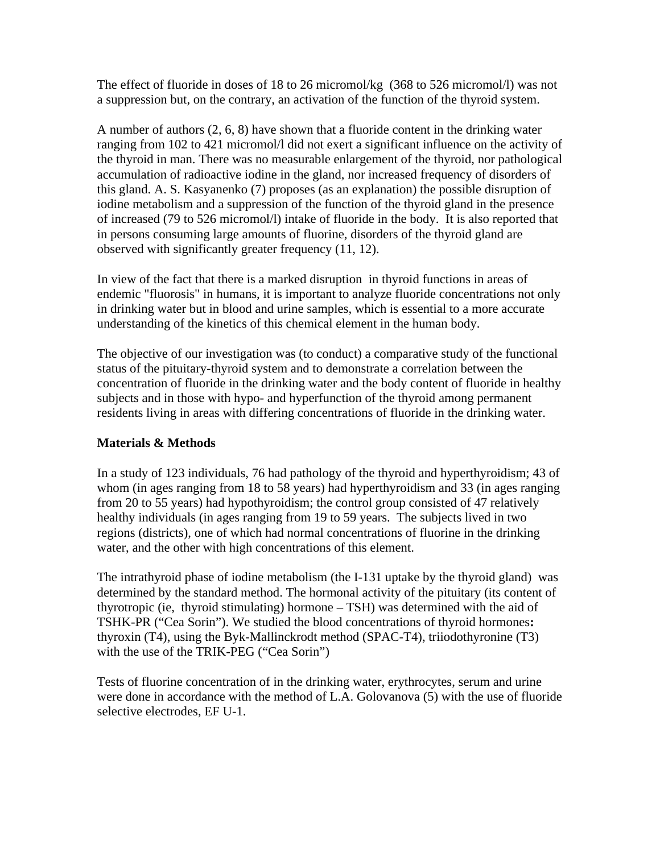The effect of fluoride in doses of 18 to 26 micromol/kg (368 to 526 micromol/l) was not a suppression but, on the contrary, an activation of the function of the thyroid system.

A number of authors (2, 6, 8) have shown that a fluoride content in the drinking water ranging from 102 to 421 micromol/l did not exert a significant influence on the activity of the thyroid in man. There was no measurable enlargement of the thyroid, nor pathological accumulation of radioactive iodine in the gland, nor increased frequency of disorders of this gland. A. S. Kasyanenko (7) proposes (as an explanation) the possible disruption of iodine metabolism and a suppression of the function of the thyroid gland in the presence of increased (79 to 526 micromol/l) intake of fluoride in the body. It is also reported that in persons consuming large amounts of fluorine, disorders of the thyroid gland are observed with significantly greater frequency (11, 12).

In view of the fact that there is a marked disruption in thyroid functions in areas of endemic "fluorosis" in humans, it is important to analyze fluoride concentrations not only in drinking water but in blood and urine samples, which is essential to a more accurate understanding of the kinetics of this chemical element in the human body.

The objective of our investigation was (to conduct) a comparative study of the functional status of the pituitary-thyroid system and to demonstrate a correlation between the concentration of fluoride in the drinking water and the body content of fluoride in healthy subjects and in those with hypo- and hyperfunction of the thyroid among permanent residents living in areas with differing concentrations of fluoride in the drinking water.

# **Materials & Methods**

In a study of 123 individuals, 76 had pathology of the thyroid and hyperthyroidism; 43 of whom (in ages ranging from 18 to 58 years) had hyperthyroidism and 33 (in ages ranging from 20 to 55 years) had hypothyroidism; the control group consisted of 47 relatively healthy individuals (in ages ranging from 19 to 59 years. The subjects lived in two regions (districts), one of which had normal concentrations of fluorine in the drinking water, and the other with high concentrations of this element.

The intrathyroid phase of iodine metabolism (the I-131 uptake by the thyroid gland) was determined by the standard method. The hormonal activity of the pituitary (its content of thyrotropic (ie, thyroid stimulating) hormone – TSH) was determined with the aid of TSHK-PR ("Cea Sorin"). We studied the blood concentrations of thyroid hormones**:** thyroxin (T4), using the Byk-Mallinckrodt method (SPAC-T4), triiodothyronine (T3) with the use of the TRIK-PEG ("Cea Sorin")

Tests of fluorine concentration of in the drinking water, erythrocytes, serum and urine were done in accordance with the method of L.A. Golovanova (5) with the use of fluoride selective electrodes, EF U-1.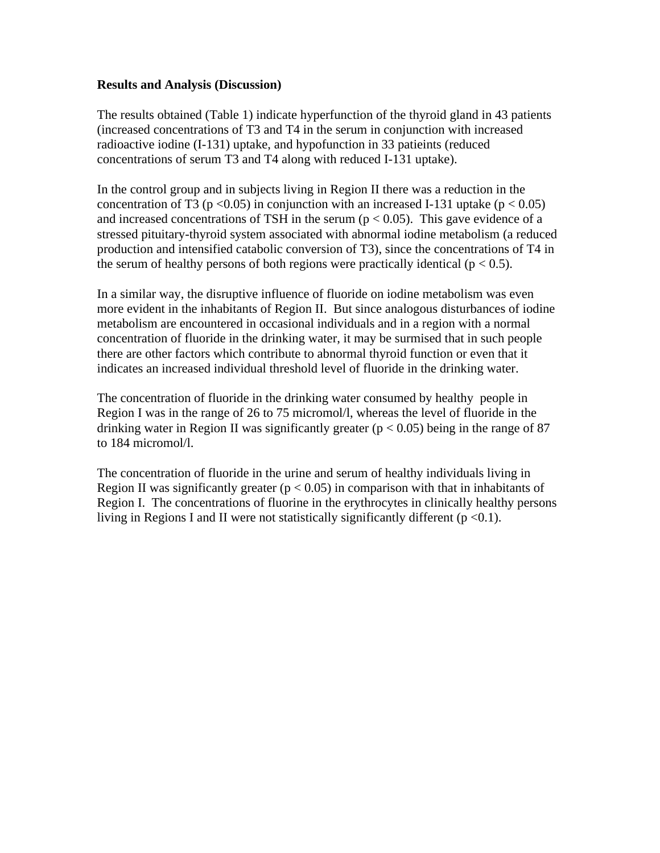### **Results and Analysis (Discussion)**

The results obtained (Table 1) indicate hyperfunction of the thyroid gland in 43 patients (increased concentrations of T3 and T4 in the serum in conjunction with increased radioactive iodine (I-131) uptake, and hypofunction in 33 patieints (reduced concentrations of serum T3 and T4 along with reduced I-131 uptake).

In the control group and in subjects living in Region II there was a reduction in the concentration of T3 ( $p < 0.05$ ) in conjunction with an increased I-131 uptake ( $p < 0.05$ ) and increased concentrations of TSH in the serum  $(p < 0.05)$ . This gave evidence of a stressed pituitary-thyroid system associated with abnormal iodine metabolism (a reduced production and intensified catabolic conversion of T3), since the concentrations of T4 in the serum of healthy persons of both regions were practically identical ( $p < 0.5$ ).

In a similar way, the disruptive influence of fluoride on iodine metabolism was even more evident in the inhabitants of Region II. But since analogous disturbances of iodine metabolism are encountered in occasional individuals and in a region with a normal concentration of fluoride in the drinking water, it may be surmised that in such people there are other factors which contribute to abnormal thyroid function or even that it indicates an increased individual threshold level of fluoride in the drinking water.

The concentration of fluoride in the drinking water consumed by healthy people in Region I was in the range of 26 to 75 micromol/l, whereas the level of fluoride in the drinking water in Region II was significantly greater ( $p < 0.05$ ) being in the range of 87 to 184 micromol/l.

The concentration of fluoride in the urine and serum of healthy individuals living in Region II was significantly greater ( $p < 0.05$ ) in comparison with that in inhabitants of Region I. The concentrations of fluorine in the erythrocytes in clinically healthy persons living in Regions I and II were not statistically significantly different  $(p < 0.1)$ .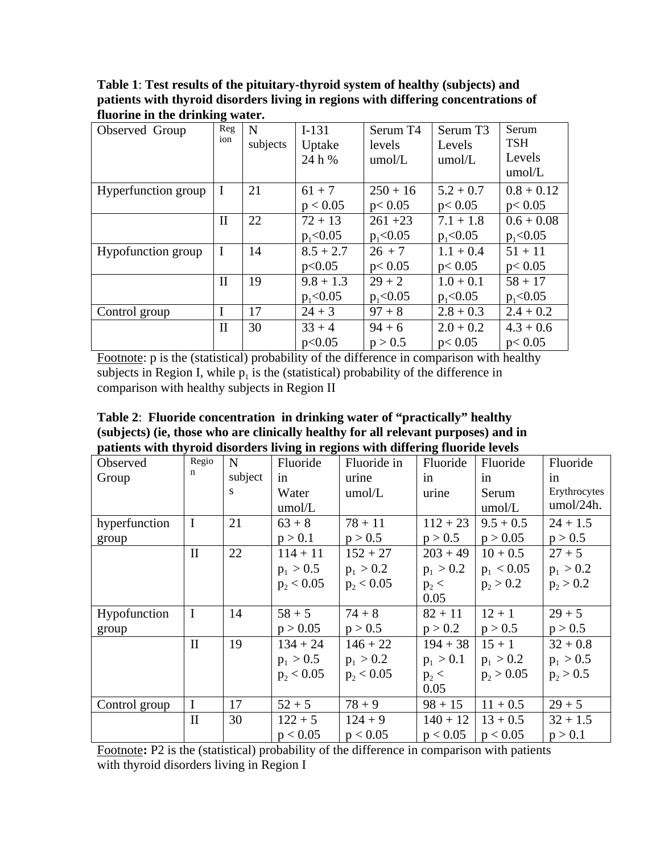**Table 1**: **Test results of the pituitary-thyroid system of healthy (subjects) and patients with thyroid disorders living in regions with differing concentrations of fluorine in the drinking water.**

| Observed Group      | Reg          | N        | $I-131$     | Serum T4     | Serum T <sub>3</sub> | Serum        |
|---------------------|--------------|----------|-------------|--------------|----------------------|--------------|
|                     | ion          | subjects | Uptake      | levels       | Levels               | <b>TSH</b>   |
|                     |              |          | 24 h %      | umol/L       | umol/L               | Levels       |
|                     |              |          |             |              |                      | umol/L       |
| Hyperfunction group | I            | 21       | $61 + 7$    | $250 + 16$   | $5.2 + 0.7$          | $0.8 + 0.12$ |
|                     |              |          | p < 0.05    | p < 0.05     | p < 0.05             | p < 0.05     |
|                     | $\mathbf{I}$ | 22       | $72 + 13$   | $261 + 23$   | $7.1 + 1.8$          | $0.6 + 0.08$ |
|                     |              |          | $p_1<0.05$  | $p_1<0.05$   | $p_1<0.05$           | $p_1<0.05$   |
| Hypofunction group  | I            | 14       | $8.5 + 2.7$ | $26 + 7$     | $1.1 + 0.4$          | $51 + 11$    |
|                     |              |          | p<0.05      | p < 0.05     | p < 0.05             | p < 0.05     |
|                     | $\mathbf{I}$ | 19       | $9.8 + 1.3$ | $29 + 2$     | $1.0 + 0.1$          | $58 + 17$    |
|                     |              |          | $p_1<0.05$  | $p_1 < 0.05$ | $p_1<0.05$           | $p_1<0.05$   |
| Control group       | I            | 17       | $24 + 3$    | $97 + 8$     | $2.8 + 0.3$          | $2.4 + 0.2$  |
|                     | $\mathbf{I}$ | 30       | $33 + 4$    | $94 + 6$     | $2.0 + 0.2$          | $4.3 + 0.6$  |
|                     |              |          | p<0.05      | p > 0.5      | p < 0.05             | p < 0.05     |

Footnote: p is the (statistical) probability of the difference in comparison with healthy subjects in Region I, while  $p_1$  is the (statistical) probability of the difference in comparison with healthy subjects in Region II

**Table 2**: **Fluoride concentration in drinking water of "practically" healthy (subjects) (ie, those who are clinically healthy for all relevant purposes) and in patients with thyroid disorders living in regions with differing fluoride levels**

| Observed      | Regio        | N       | Fluoride     | Fluoride in  | Fluoride    | Fluoride     | Fluoride     |
|---------------|--------------|---------|--------------|--------------|-------------|--------------|--------------|
| Group         | n            | subject | in           | urine        | in          | in           | in           |
|               |              | S       | Water        | umol/L       | urine       | Serum        | Erythrocytes |
|               |              |         | umol/L       |              |             | umol/L       | umol/24h.    |
| hyperfunction | $\mathbf I$  | 21      | $63 + 8$     | $78 + 11$    | $112 + 23$  | $9.5 + 0.5$  | $24 + 1.5$   |
| group         |              |         | p > 0.1      | p > 0.5      | p > 0.5     | p > 0.05     | p > 0.5      |
|               | $\mathbf{I}$ | 22      | $114 + 11$   | $152 + 27$   | $203 + 49$  | $10 + 0.5$   | $27 + 5$     |
|               |              |         | $p_1 > 0.5$  | $p_1 > 0.2$  | $p_1 > 0.2$ | $p_1 < 0.05$ | $p_1 > 0.2$  |
|               |              |         | $p_2 < 0.05$ | $p_2 < 0.05$ | $p_2$ <     | $p_2 > 0.2$  | $p_2 > 0.2$  |
|               |              |         |              |              | 0.05        |              |              |
| Hypofunction  | $\mathbf I$  | 14      | $58 + 5$     | $74 + 8$     | $82 + 11$   | $12 + 1$     | $29 + 5$     |
| group         |              |         | p > 0.05     | p > 0.5      | p > 0.2     | p > 0.5      | p > 0.5      |
|               | $\mathbf{I}$ | 19      | $134 + 24$   | $146 + 22$   | $194 + 38$  | $15 + 1$     | $32 + 0.8$   |
|               |              |         | $p_1 > 0.5$  | $p_1 > 0.2$  | $p_1 > 0.1$ | $p_1 > 0.2$  | $p_1 > 0.5$  |
|               |              |         | $p_2 < 0.05$ | $p_2 < 0.05$ | $p_2$ <     | $p_2 > 0.05$ | $p_2 > 0.5$  |
|               |              |         |              |              | 0.05        |              |              |
| Control group | $\mathbf I$  | 17      | $52 + 5$     | $78 + 9$     | $98 + 15$   | $11 + 0.5$   | $29 + 5$     |
|               | $\mathbf{I}$ | 30      | $122 + 5$    | $124 + 9$    | $140 + 12$  | $13 + 0.5$   | $32 + 1.5$   |
|               |              |         | p < 0.05     | p < 0.05     | p < 0.05    | p < 0.05     | p > 0.1      |

Footnote**:** P2 is the (statistical) probability of the difference in comparison with patients with thyroid disorders living in Region I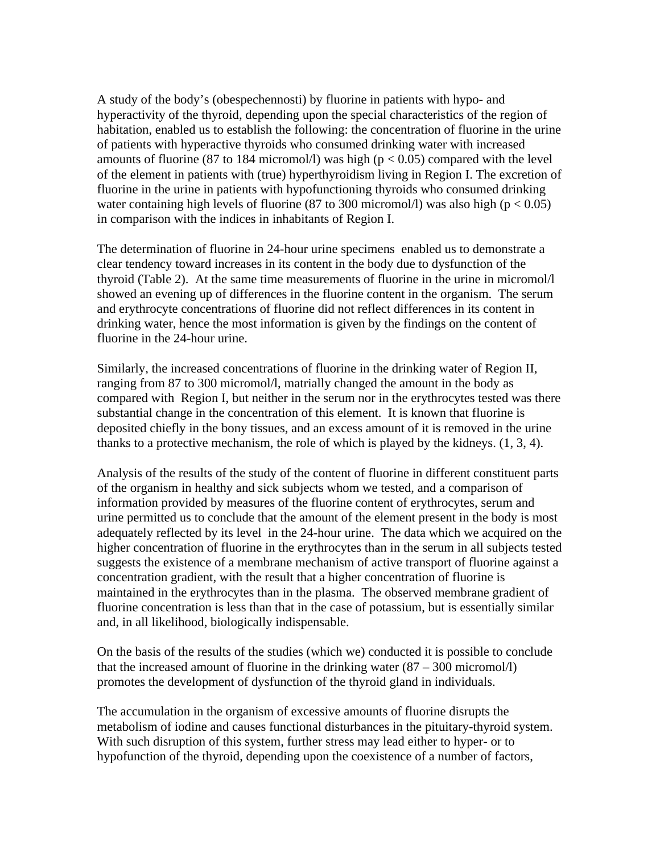A study of the body's (obespechennosti) by fluorine in patients with hypo- and hyperactivity of the thyroid, depending upon the special characteristics of the region of habitation, enabled us to establish the following: the concentration of fluorine in the urine of patients with hyperactive thyroids who consumed drinking water with increased amounts of fluorine (87 to 184 micromol/l) was high ( $p < 0.05$ ) compared with the level of the element in patients with (true) hyperthyroidism living in Region I. The excretion of fluorine in the urine in patients with hypofunctioning thyroids who consumed drinking water containing high levels of fluorine (87 to 300 micromol/l) was also high ( $p < 0.05$ ) in comparison with the indices in inhabitants of Region I.

The determination of fluorine in 24-hour urine specimens enabled us to demonstrate a clear tendency toward increases in its content in the body due to dysfunction of the thyroid (Table 2). At the same time measurements of fluorine in the urine in micromol/l showed an evening up of differences in the fluorine content in the organism. The serum and erythrocyte concentrations of fluorine did not reflect differences in its content in drinking water, hence the most information is given by the findings on the content of fluorine in the 24-hour urine.

Similarly, the increased concentrations of fluorine in the drinking water of Region II, ranging from 87 to 300 micromol/l, matrially changed the amount in the body as compared with Region I, but neither in the serum nor in the erythrocytes tested was there substantial change in the concentration of this element. It is known that fluorine is deposited chiefly in the bony tissues, and an excess amount of it is removed in the urine thanks to a protective mechanism, the role of which is played by the kidneys.  $(1, 3, 4)$ .

Analysis of the results of the study of the content of fluorine in different constituent parts of the organism in healthy and sick subjects whom we tested, and a comparison of information provided by measures of the fluorine content of erythrocytes, serum and urine permitted us to conclude that the amount of the element present in the body is most adequately reflected by its level in the 24-hour urine. The data which we acquired on the higher concentration of fluorine in the erythrocytes than in the serum in all subjects tested suggests the existence of a membrane mechanism of active transport of fluorine against a concentration gradient, with the result that a higher concentration of fluorine is maintained in the erythrocytes than in the plasma. The observed membrane gradient of fluorine concentration is less than that in the case of potassium, but is essentially similar and, in all likelihood, biologically indispensable.

On the basis of the results of the studies (which we) conducted it is possible to conclude that the increased amount of fluorine in the drinking water  $(87 - 300 \text{ micromol/l})$ promotes the development of dysfunction of the thyroid gland in individuals.

The accumulation in the organism of excessive amounts of fluorine disrupts the metabolism of iodine and causes functional disturbances in the pituitary-thyroid system. With such disruption of this system, further stress may lead either to hyper- or to hypofunction of the thyroid, depending upon the coexistence of a number of factors,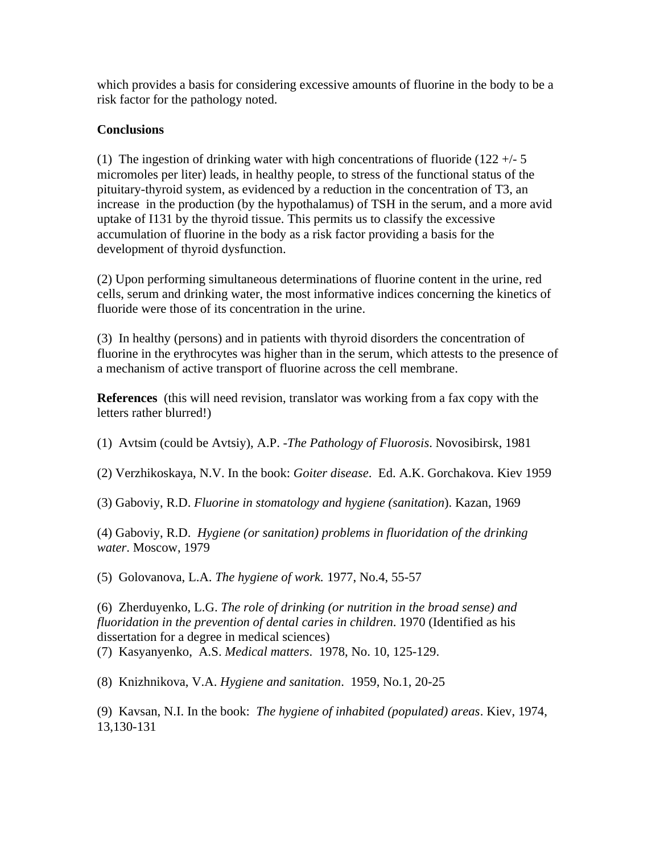which provides a basis for considering excessive amounts of fluorine in the body to be a risk factor for the pathology noted.

# **Conclusions**

(1) The ingestion of drinking water with high concentrations of fluoride  $(122 + - 5)$ micromoles per liter) leads, in healthy people, to stress of the functional status of the pituitary-thyroid system, as evidenced by a reduction in the concentration of T3, an increase in the production (by the hypothalamus) of TSH in the serum, and a more avid uptake of I131 by the thyroid tissue. This permits us to classify the excessive accumulation of fluorine in the body as a risk factor providing a basis for the development of thyroid dysfunction.

(2) Upon performing simultaneous determinations of fluorine content in the urine, red cells, serum and drinking water, the most informative indices concerning the kinetics of fluoride were those of its concentration in the urine.

(3) In healthy (persons) and in patients with thyroid disorders the concentration of fluorine in the erythrocytes was higher than in the serum, which attests to the presence of a mechanism of active transport of fluorine across the cell membrane.

**References** (this will need revision, translator was working from a fax copy with the letters rather blurred!)

(1) Avtsim (could be Avtsiy), A.P. -*The Pathology of Fluorosis*. Novosibirsk, 1981

(2) Verzhikoskaya, N.V. In the book: *Goiter disease*. Ed. A.K. Gorchakova. Kiev 1959

(3) Gaboviy, R.D. *Fluorine in stomatology and hygiene (sanitation*). Kazan, 1969

(4) Gaboviy, R.D. *Hygiene (or sanitation) problems in fluoridation of the drinking water*. Moscow, 1979

(5) Golovanova, L.A. *The hygiene of work.* 1977, No.4, 55-57

(6) Zherduyenko, L.G. *The role of drinking (or nutrition in the broad sense) and fluoridation in the prevention of dental caries in children*. 1970 (Identified as his dissertation for a degree in medical sciences)

(7) Kasyanyenko, A.S. *Medical matters*. 1978, No. 10, 125-129.

(8) Knizhnikova, V.A. *Hygiene and sanitation*. 1959, No.1, 20-25

(9) Kavsan, N.I. In the book: *The hygiene of inhabited (populated) areas*. Kiev, 1974, 13,130-131